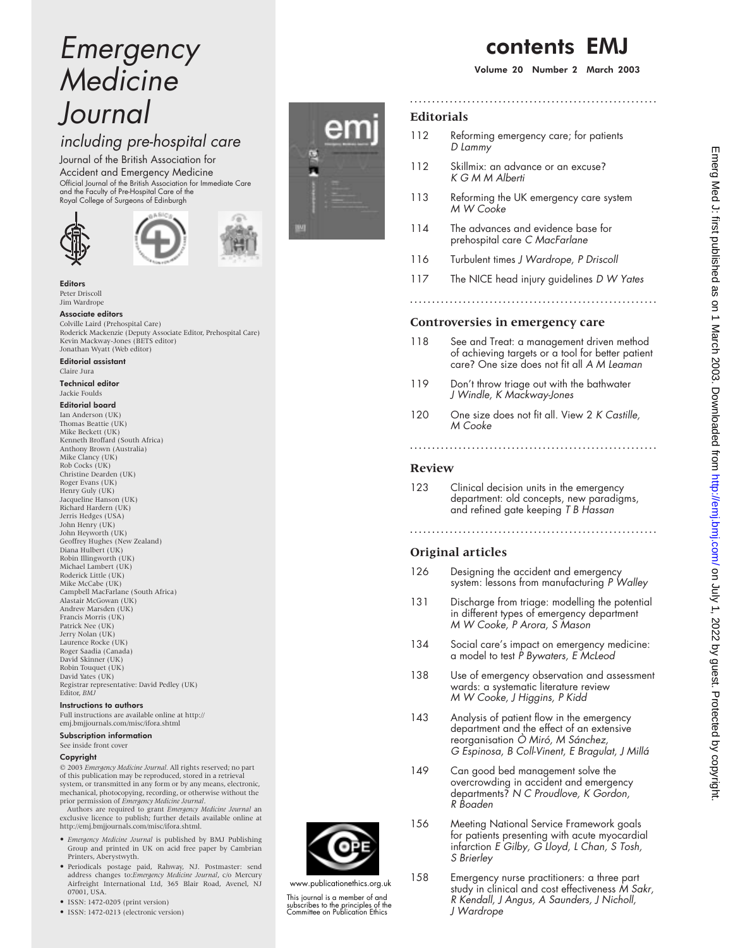# Emergency Medicine Journal

# including pre-hospital care

Journal of the British Association for Accident and Emergency Medicine Official Journal of the British Association for Immediate Care and the Faculty of Pre-Hospital Care of the Royal College of Surgeons of Edinburgh





#### Editors Peter Driscoll Jim Wardrope

Associate editors

Colville Laird (Prehospital Care) Roderick Mackenzie (Deputy Associate Editor, Prehospital Care) Kevin Mackway-Jones (BETS editor) Jonathan Wyatt (Web editor)

## Editorial assistant

Claire Jura

Technical editor Jackie Foulds

## Editorial board

Ian Anderson (UK) Thomas Beattie (UK) Mike Beckett (UK) Kenneth Broffard (South Africa) Anthony Brown (Australia) Mike Clancy (UK) Rob Cocks (UK) Christine Dearden (UK) Roger Evans (UK) Henry Guly (UK) Jacqueline Hanson (UK) Richard Hardern (UK) Jerris Hedges (USA) John Henry (UK) John Heyworth (UK) Geoffrey Hughes (New Zealand) Diana Hulbert (UK) Robin Illingworth (UK) Michael Lambert (UK) Roderick Little (UK) Mike McCabe (UK) Campbell MacFarlane (South Africa) Alastair McGowan (UK) Andrew Marsden (UK) Francis Morris (UK) Patrick Nee (UK) Jerry Nolan (UK) Laurence Rocke (UK) Roger Saadia (Canada) David Skinner (UK) Robin Touquet (UK) David Yates (UK) Registrar representative: David Pedley (UK) Editor, *BMJ*

#### Instructions to authors

Full instructions are available online at http:// emj.bmjjournals.com/misc/ifora.shtml Subscription information

### See inside front cover

#### Copyright

© 2003 *Emergency Medicine Journal.* All rights reserved; no part of this publication may be reproduced, stored in a retrieval system, or transmitted in any form or by any means, electronic, mechanical, photocopying, recording, or otherwise without the

prior permission of *Emergency Medicine Journal*. Authors are required to grant *Emergency Medicine Journal* an exclusive licence to publish; further details available online at http://emj.bmjjournals.com/misc/ifora.shtml.

- *Emergency Medicine Journal* is published by BMJ Publishing Group and printed in UK on acid free paper by Cambrian Printers, Aberystwyth.
- Periodicals postage paid, Rahway, NJ. Postmaster: send address changes to:*Emergency Medicine Journal*, c/o Mercury Airfreight International Ltd, 365 Blair Road, Avenel, NJ 07001, USA.
- ISSN: 1472-0205 (print version)
- ISSN: 1472-0213 (electronic version)

# **Editorials**

112 Reforming emergency care; for patients D Lammy

**........................................................**

- 112 Skillmix: an advance or an excuse? KGMMAlberti
- 113 Reforming the UK emergency care system M W Cooke
- 114 The advances and evidence base for prehospital care C MacFarlane
- 116 Turbulent times J Wardrope, P Driscoll
- 117 The NICE head injury guidelines D W Yates

## **Controversies in emergency care**

- 118 See and Treat: a management driven method of achieving targets or a tool for better patient care? One size does not fit all A M Leaman
- 119 Don't throw triage out with the bathwater J Windle, <sup>K</sup> Mackway-Jones
- 120 One size does not fit all. View 2 K Castille, M Cooke

## **Review**

123 Clinical decision units in the emergency department: old concepts, new paradigms, and refined gate keeping T B Hassan

# **Original articles**

126 Designing the accident and emergency system: lessons from manufacturing P Walley

**........................................................**

- 131 Discharge from triage: modelling the potential in different types of emergency department M W Cooke, P Arora, S Mason
- 134 Social care's impact on emergency medicine: a model to test <sup>P</sup> Bywaters, <sup>E</sup> McLeod
- 138 Use of emergency observation and assessment wards: a systematic literature review M W Cooke, J Higgins, <sup>P</sup> Kidd
- 143 Analysis of patient flow in the emergency department and the effect of an extensive reorganisation Ò Miró, M Sánchez, G Espinosa, <sup>B</sup> Coll-Vinent, <sup>E</sup> Bragulat, J Millá
- 149 Can good bed management solve the overcrowding in accident and emergency departments? N C Proudlove, K Gordon, R Boaden

156 Meeting National Service Framework goals

www.publicationethics.org.uk This journal is a member of and subscribes to the principles of the Committee on Publication Ethics



- 
- 
- 

**........................................................**

for patients presenting with acute myocardial infarction <sup>E</sup> Gilby, G Lloyd, <sup>L</sup> Chan, S Tosh, S Brierley

158 Emergency nurse practitioners: a three part study in clinical and cost effectiveness M Sakr, <sup>R</sup> Kendall, J Angus, A Saunders, J Nicholl, J Wardrope

# contents EMJ

Volume 20 Number 2 March 2003